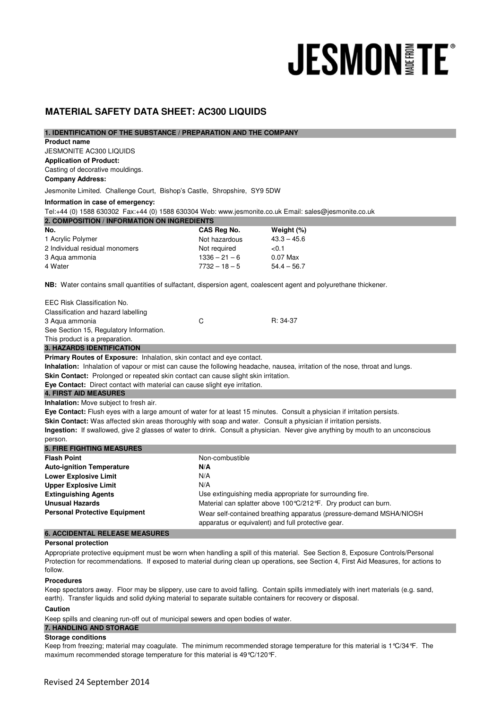# **JESMONITE®**

# **MATERIAL SAFETY DATA SHEET: AC300 LIQUIDS**

| 1. IDENTIFICATION OF THE SUBSTANCE / PREPARATION AND THE COMPANY                                                             |                                                           |                                                                                                                                |
|------------------------------------------------------------------------------------------------------------------------------|-----------------------------------------------------------|--------------------------------------------------------------------------------------------------------------------------------|
| <b>Product name</b>                                                                                                          |                                                           |                                                                                                                                |
| <b>JESMONITE AC300 LIQUIDS</b>                                                                                               |                                                           |                                                                                                                                |
| <b>Application of Product:</b>                                                                                               |                                                           |                                                                                                                                |
| Casting of decorative mouldings.                                                                                             |                                                           |                                                                                                                                |
| <b>Company Address:</b>                                                                                                      |                                                           |                                                                                                                                |
| Jesmonite Limited. Challenge Court, Bishop's Castle, Shropshire, SY9 5DW                                                     |                                                           |                                                                                                                                |
| Information in case of emergency:                                                                                            |                                                           |                                                                                                                                |
| Tel:+44 (0) 1588 630302 Fax:+44 (0) 1588 630304 Web: www.jesmonite.co.uk Email: sales@jesmonite.co.uk                        |                                                           |                                                                                                                                |
| 2. COMPOSITION / INFORMATION ON INGREDIENTS                                                                                  |                                                           |                                                                                                                                |
| No.                                                                                                                          | CAS Reg No.                                               | Weight (%)                                                                                                                     |
| 1 Acrylic Polymer                                                                                                            | Not hazardous                                             | $43.3 - 45.6$                                                                                                                  |
| 2 Individual residual monomers                                                                                               | Not required                                              | < 0.1                                                                                                                          |
| 3 Agua ammonia                                                                                                               | $1336 - 21 - 6$                                           | $0.07$ Max                                                                                                                     |
| 4 Water                                                                                                                      | $7732 - 18 - 5$                                           | $54.4 - 56.7$                                                                                                                  |
|                                                                                                                              |                                                           |                                                                                                                                |
| <b>NB:</b> Water contains small quantities of sulfactant, dispersion agent, coalescent agent and polyurethane thickener.     |                                                           |                                                                                                                                |
| EEC Risk Classification No.                                                                                                  |                                                           |                                                                                                                                |
| Classification and hazard labelling                                                                                          |                                                           |                                                                                                                                |
| 3 Aqua ammonia                                                                                                               | C                                                         | R: 34-37                                                                                                                       |
| See Section 15, Regulatory Information.                                                                                      |                                                           |                                                                                                                                |
| This product is a preparation.                                                                                               |                                                           |                                                                                                                                |
| <b>3. HAZARDS IDENTIFICATION</b>                                                                                             |                                                           |                                                                                                                                |
| Primary Routes of Exposure: Inhalation, skin contact and eye contact.                                                        |                                                           |                                                                                                                                |
| Inhalation: Inhalation of vapour or mist can cause the following headache, nausea, irritation of the nose, throat and lungs. |                                                           |                                                                                                                                |
| <b>Skin Contact:</b> Prolonged or repeated skin contact can cause slight skin irritation.                                    |                                                           |                                                                                                                                |
| Eye Contact: Direct contact with material can cause slight eye irritation.                                                   |                                                           |                                                                                                                                |
| <b>4. FIRST AID MEASURES</b>                                                                                                 |                                                           |                                                                                                                                |
| <b>Inhalation:</b> Move subject to fresh air.                                                                                |                                                           |                                                                                                                                |
| Eye Contact: Flush eyes with a large amount of water for at least 15 minutes. Consult a physician if irritation persists.    |                                                           |                                                                                                                                |
| Skin Contact: Was affected skin areas thoroughly with soap and water. Consult a physician if irritation persists.            |                                                           |                                                                                                                                |
|                                                                                                                              |                                                           | Ingestion: If swallowed, give 2 glasses of water to drink. Consult a physician. Never give anything by mouth to an unconscious |
| person.                                                                                                                      |                                                           |                                                                                                                                |
| <b>5. FIRE FIGHTING MEASURES</b>                                                                                             |                                                           |                                                                                                                                |
| <b>Flash Point</b>                                                                                                           | Non-combustible                                           |                                                                                                                                |
| <b>Auto-ignition Temperature</b>                                                                                             | N/A                                                       |                                                                                                                                |
| <b>Lower Explosive Limit</b>                                                                                                 | N/A                                                       |                                                                                                                                |
| <b>Upper Explosive Limit</b>                                                                                                 | N/A                                                       |                                                                                                                                |
| <b>Extinguishing Agents</b>                                                                                                  | Use extinguishing media appropriate for surrounding fire. |                                                                                                                                |
| <b>Unusual Hazards</b>                                                                                                       |                                                           | Material can splatter above 100 °C/212 °F. Dry product can burn.                                                               |
| <b>Personal Protective Equipment</b>                                                                                         |                                                           | Wear self-contained breathing apparatus (pressure-demand MSHA/NIOSH                                                            |
|                                                                                                                              |                                                           | apparatus or equivalent) and full protective gear.                                                                             |
| <b>6. ACCIDENTAL RELEASE MEASURES</b>                                                                                        |                                                           |                                                                                                                                |

## **Personal protection**

Appropriate protective equipment must be worn when handling a spill of this material. See Section 8, Exposure Controls/Personal Protection for recommendations. If exposed to material during clean up operations, see Section 4, First Aid Measures, for actions to follow.

# **Procedures**

Keep spectators away. Floor may be slippery, use care to avoid falling. Contain spills immediately with inert materials (e.g. sand, earth). Transfer liquids and solid dyking material to separate suitable containers for recovery or disposal.

# **Caution**

Keep spills and cleaning run-off out of municipal sewers and open bodies of water.

# **7. HANDLING AND STORAGE**

**Storage conditions**

Keep from freezing; material may coagulate. The minimum recommended storage temperature for this material is 1°C/34°F. The maximum recommended storage temperature for this material is 49°C/120°F.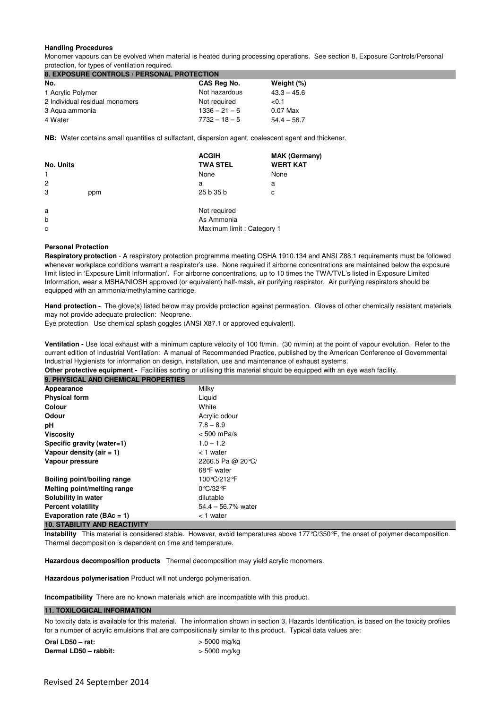# **Handling Procedures**

Monomer vapours can be evolved when material is heated during processing operations. See section 8, Exposure Controls/Personal protection, for types of ventilation required.

| 8. EXPOSURE CONTROLS / PERSONAL PROTECTION |                 |               |
|--------------------------------------------|-----------------|---------------|
| No.                                        | CAS Reg No.     | Weight (%)    |
| 1 Acrylic Polymer                          | Not hazardous   | $43.3 - 45.6$ |
| 2 Individual residual monomers             | Not required    | < 0.1         |
| 3 Aqua ammonia                             | $1336 - 21 - 6$ | $0.07$ Max    |
| 4 Water                                    | $7732 - 18 - 5$ | $54.4 - 56.7$ |

**NB:** Water contains small quantities of sulfactant, dispersion agent, coalescent agent and thickener.

| No. Units      |     | <b>ACGIH</b><br><b>TWA STEL</b> | <b>MAK (Germany)</b><br><b>WERT KAT</b> |
|----------------|-----|---------------------------------|-----------------------------------------|
| $\mathbf{1}$   |     | None                            | None                                    |
| $\overline{2}$ |     | a                               | a                                       |
| 3              | ppm | 25 b 35 b                       | C                                       |
| a              |     | Not required                    |                                         |
| $\mathsf{b}$   |     | As Ammonia                      |                                         |
| C              |     | Maximum limit: Category 1       |                                         |

## **Personal Protection**

**Respiratory protection** - A respiratory protection programme meeting OSHA 1910.134 and ANSI Z88.1 requirements must be followed whenever workplace conditions warrant a respirator's use. None required if airborne concentrations are maintained below the exposure limit listed in 'Exposure Limit Information'. For airborne concentrations, up to 10 times the TWA/TVL's listed in Exposure Limited Information, wear a MSHA/NIOSH approved (or equivalent) half-mask, air purifying respirator. Air purifying respirators should be equipped with an ammonia/methylamine cartridge.

**Hand protection -** The glove(s) listed below may provide protection against permeation. Gloves of other chemically resistant materials may not provide adequate protection: Neoprene.

Eye protection Use chemical splash goggles (ANSI X87.1 or approved equivalent).

**Ventilation -** Use local exhaust with a minimum capture velocity of 100 ft/min. (30 m/min) at the point of vapour evolution. Refer to the current edition of Industrial Ventilation: A manual of Recommended Practice, published by the American Conference of Governmental Industrial Hygienists for information on design, installation, use and maintenance of exhaust systems.

**Other protective equipment -** Facilities sorting or utilising this material should be equipped with an eye wash facility.

| <b>9. PHYSICAL AND CHEMICAL PROPERTIES</b> |                      |
|--------------------------------------------|----------------------|
| Appearance                                 | Milky                |
| <b>Physical form</b>                       | Liquid               |
| Colour                                     | White                |
| <b>Odour</b>                               | Acrylic odour        |
| рH                                         | $7.8 - 8.9$          |
| <b>Viscosity</b>                           | $< 500$ mPa/s        |
| Specific gravity (water=1)                 | $1.0 - 1.2$          |
| Vapour density (air $= 1$ )                | $<$ 1 water          |
| Vapour pressure                            | 2266.5 Pa @ 20 °C/   |
|                                            | 68°F water           |
| Boiling point/boiling range                | 100℃/212°F           |
| Melting point/melting range                | 0 °C/32 °F           |
| Solubility in water                        | dilutable            |
| <b>Percent volatility</b>                  | $54.4 - 56.7%$ water |
| Evaporation rate ( $\text{BAc} = 1$ )      | $<$ 1 water          |
| <b>10. STABILITY AND REACTIVITY</b>        |                      |

**Instability** This material is considered stable. However, avoid temperatures above 177°C/350°F, the onset of polymer decomposition. Thermal decomposition is dependent on time and temperature.

**Hazardous decomposition products** Thermal decomposition may yield acrylic monomers.

**Hazardous polymerisation** Product will not undergo polymerisation.

**Incompatibility** There are no known materials which are incompatible with this product.

# **11. TOXILOGICAL INFORMATION**

No toxicity data is available for this material. The information shown in section 3, Hazards Identification, is based on the toxicity profiles for a number of acrylic emulsions that are compositionally similar to this product. Typical data values are:

| Oral LD50 - rat:      | $>$ 5000 mg/kg |
|-----------------------|----------------|
| Dermal LD50 - rabbit: | $>$ 5000 mg/kg |